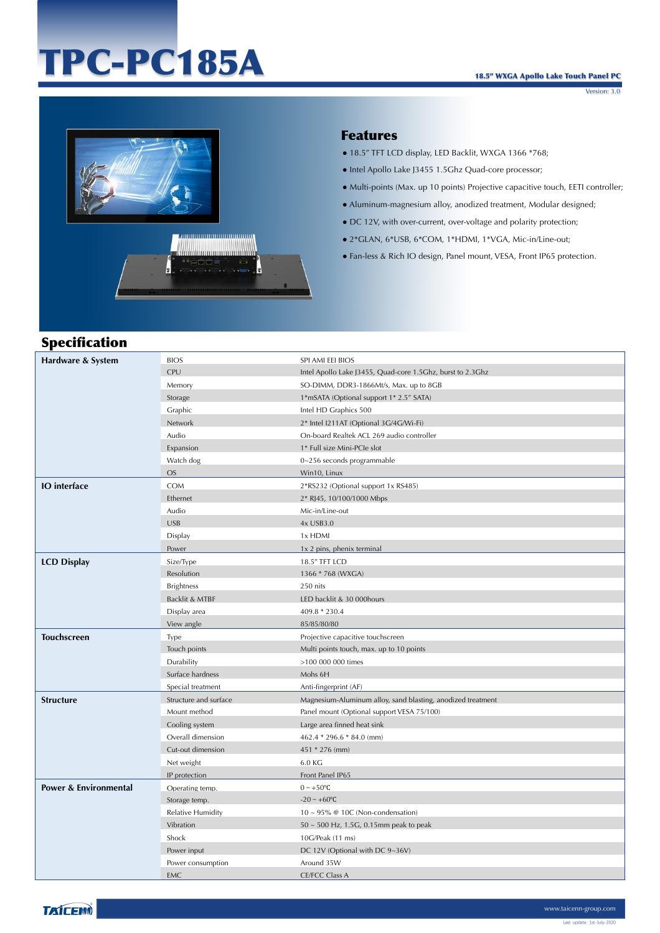# TPC-PC185A

Version: 3.0



### Features

- 18.5" TFT LCD display, LED Backlit, WXGA 1366 \*768;
- Intel Apollo Lake J3455 1.5Ghz Quad-core processor;
- Multi-points (Max. up 10 points) Projective capacitive touch, EETI controller;
- Aluminum-magnesium alloy, anodized treatment, Modular designed;
- DC 12V, with over-current, over-voltage and polarity protection;
- 2\*GLAN, 6\*USB, 6\*COM, 1\*HDMI, 1\*VGA, Mic-in/Line-out;
- Fan-less & Rich IO design, Panel mount, VESA, Front IP65 protection.

## Specification

| Hardware & System                | <b>BIOS</b>           | SPI AMI EEI BIOS                                            |
|----------------------------------|-----------------------|-------------------------------------------------------------|
|                                  | <b>CPU</b>            | Intel Apollo Lake J3455, Quad-core 1.5Ghz, burst to 2.3Ghz  |
|                                  | Memory                | SO-DIMM, DDR3-1866Mt/s, Max. up to 8GB                      |
|                                  | Storage               | 1*mSATA (Optional support 1* 2.5" SATA)                     |
|                                  | Graphic               | Intel HD Graphics 500                                       |
|                                  | Network               | 2* Intel I211AT (Optional 3G/4G/Wi-Fi)                      |
|                                  | Audio                 | On-board Realtek ACL 269 audio controller                   |
|                                  | Expansion             | 1* Full size Mini-PCIe slot                                 |
|                                  | Watch dog             | 0~256 seconds programmable                                  |
|                                  | <b>OS</b>             | Win10, Linux                                                |
| <b>IO</b> interface              | COM                   | 2*RS232 (Optional support 1x RS485)                         |
|                                  | Ethernet              | 2* RJ45, 10/100/1000 Mbps                                   |
|                                  | Audio                 | Mic-in/Line-out                                             |
|                                  | <b>USB</b>            | 4x USB3.0                                                   |
|                                  | Display               | 1x HDMI                                                     |
|                                  | Power                 | 1x 2 pins, phenix terminal                                  |
| <b>LCD Display</b>               | Size/Type             | 18.5" TFT LCD                                               |
|                                  | Resolution            | 1366 * 768 (WXGA)                                           |
|                                  | <b>Brightness</b>     | 250 nits                                                    |
|                                  | Backlit & MTBF        | LED backlit & 30 000hours                                   |
|                                  | Display area          | 409.8 * 230.4                                               |
|                                  | View angle            | 85/85/80/80                                                 |
| <b>Touchscreen</b>               | Type                  | Projective capacitive touchscreen                           |
|                                  | Touch points          | Multi points touch, max. up to 10 points                    |
|                                  | Durability            | >100 000 000 times                                          |
|                                  | Surface hardness      | Mohs 6H                                                     |
|                                  | Special treatment     | Anti-fingerprint (AF)                                       |
| <b>Structure</b>                 | Structure and surface | Magnesium-Aluminum alloy, sand blasting, anodized treatment |
|                                  | Mount method          | Panel mount (Optional support VESA 75/100)                  |
|                                  | Cooling system        | Large area finned heat sink                                 |
|                                  | Overall dimension     | 462.4 * 296.6 * 84.0 (mm)                                   |
|                                  | Cut-out dimension     | 451 * 276 (mm)                                              |
|                                  | Net weight            | 6.0 KG                                                      |
|                                  | IP protection         | Front Panel IP65                                            |
| <b>Power &amp; Environmental</b> | Operating temp.       | $0 \sim +50$ °C                                             |
|                                  | Storage temp.         | $-20 \sim +60$ °C                                           |
|                                  | Relative Humidity     | $10 \sim 95\%$ @ 10C (Non-condensation)                     |
|                                  | Vibration             | 50 ~ 500 Hz, 1.5G, 0.15mm peak to peak                      |
|                                  | Shock                 | 10G/Peak (11 ms)                                            |
|                                  | Power input           | DC 12V (Optional with DC 9~36V)                             |
|                                  | Power consumption     | Around 35W                                                  |
|                                  | <b>EMC</b>            | <b>CE/FCC Class A</b>                                       |